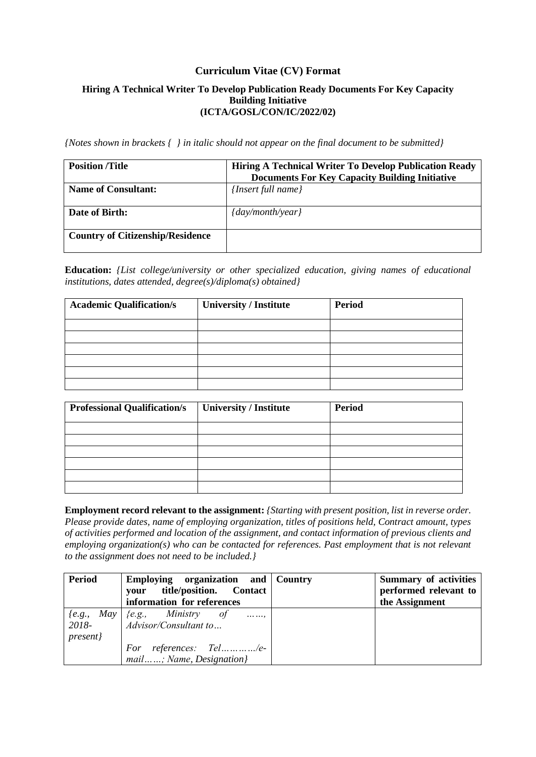#### **Curriculum Vitae (CV) Format**

#### **Hiring A Technical Writer To Develop Publication Ready Documents For Key Capacity Building Initiative (ICTA/GOSL/CON/IC/2022/02)**

*{Notes shown in brackets { } in italic should not appear on the final document to be submitted}* 

| <b>Position</b> /Title                  | <b>Hiring A Technical Writer To Develop Publication Ready</b><br><b>Documents For Key Capacity Building Initiative</b> |
|-----------------------------------------|------------------------------------------------------------------------------------------------------------------------|
| <b>Name of Consultant:</b>              | {Insert full name}                                                                                                     |
| Date of Birth:                          | $\{day/month/year\}$                                                                                                   |
| <b>Country of Citizenship/Residence</b> |                                                                                                                        |

**Education:** *{List college/university or other specialized education, giving names of educational institutions, dates attended, degree(s)/diploma(s) obtained}*

| <b>Academic Qualification/s</b> | <b>University / Institute</b> | <b>Period</b> |
|---------------------------------|-------------------------------|---------------|
|                                 |                               |               |
|                                 |                               |               |
|                                 |                               |               |
|                                 |                               |               |
|                                 |                               |               |
|                                 |                               |               |

| <b>Professional Qualification/s</b> | University / Institute | <b>Period</b> |
|-------------------------------------|------------------------|---------------|
|                                     |                        |               |
|                                     |                        |               |
|                                     |                        |               |
|                                     |                        |               |
|                                     |                        |               |
|                                     |                        |               |

**Employment record relevant to the assignment:** *{Starting with present position, list in reverse order. Please provide dates, name of employing organization, titles of positions held, Contract amount, types of activities performed and location of the assignment, and contact information of previous clients and employing organization(s) who can be contacted for references. Past employment that is not relevant to the assignment does not need to be included.}*

| <b>Period</b> | Employing organization and Country             | <b>Summary of activities</b> |
|---------------|------------------------------------------------|------------------------------|
|               | title/position. Contact<br>vour                | performed relevant to        |
|               | information for references                     | the Assignment               |
| $\{e.g.,\}$   | $May \,   \, \{e.g., \, Ministry \, of$<br>. , |                              |
| 2018-         | Advisor/Consultant to                          |                              |
| present}      |                                                |                              |
|               | For references: Tel/e-                         |                              |
|               | mail; Name, Designation}                       |                              |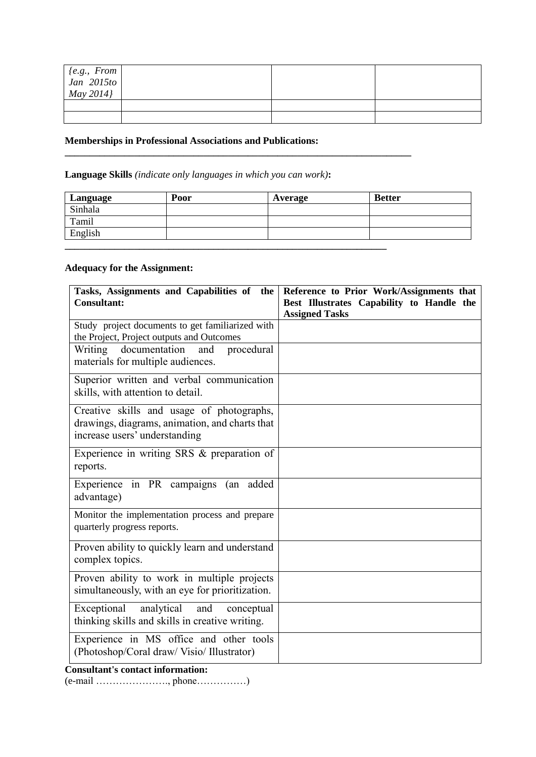| $\begin{bmatrix} \{e.g.,\ From\ Jan\ 2015 to\ May\ 2014 \} \end{bmatrix}$ |  |  |
|---------------------------------------------------------------------------|--|--|
|                                                                           |  |  |
|                                                                           |  |  |

## **Memberships in Professional Associations and Publications:**

**Language Skills** *(indicate only languages in which you can work)***:** 

| Language | Poor | Average | <b>Better</b> |
|----------|------|---------|---------------|
| Sinhala  |      |         |               |
| Tamil    |      |         |               |
| English  |      |         |               |
|          |      |         |               |

**\_\_\_\_\_\_\_\_\_\_\_\_\_\_\_\_\_\_\_\_\_\_\_\_\_\_\_\_\_\_\_\_\_\_\_\_\_\_\_\_\_\_\_\_\_\_\_\_\_\_\_\_\_\_\_\_\_\_\_\_\_\_\_\_\_\_\_\_\_\_**

## **Adequacy for the Assignment:**

| Tasks, Assignments and Capabilities of the<br><b>Consultant:</b>                                                             | Reference to Prior Work/Assignments that<br>Best Illustrates Capability to Handle the |
|------------------------------------------------------------------------------------------------------------------------------|---------------------------------------------------------------------------------------|
|                                                                                                                              | <b>Assigned Tasks</b>                                                                 |
| Study project documents to get familiarized with<br>the Project, Project outputs and Outcomes                                |                                                                                       |
| Writing<br>documentation<br>and<br>procedural<br>materials for multiple audiences.                                           |                                                                                       |
| Superior written and verbal communication<br>skills, with attention to detail.                                               |                                                                                       |
| Creative skills and usage of photographs,<br>drawings, diagrams, animation, and charts that<br>increase users' understanding |                                                                                       |
| Experience in writing SRS & preparation of<br>reports.                                                                       |                                                                                       |
| Experience in PR campaigns (an added<br>advantage)                                                                           |                                                                                       |
| Monitor the implementation process and prepare<br>quarterly progress reports.                                                |                                                                                       |
| Proven ability to quickly learn and understand<br>complex topics.                                                            |                                                                                       |
| Proven ability to work in multiple projects<br>simultaneously, with an eye for prioritization.                               |                                                                                       |
| Exceptional analytical<br>and<br>conceptual<br>thinking skills and skills in creative writing.                               |                                                                                       |
| Experience in MS office and other tools<br>(Photoshop/Coral draw/ Visio/ Illustrator)                                        |                                                                                       |
| <b>Consultant's contact information:</b>                                                                                     |                                                                                       |

(e-mail …………………., phone……………)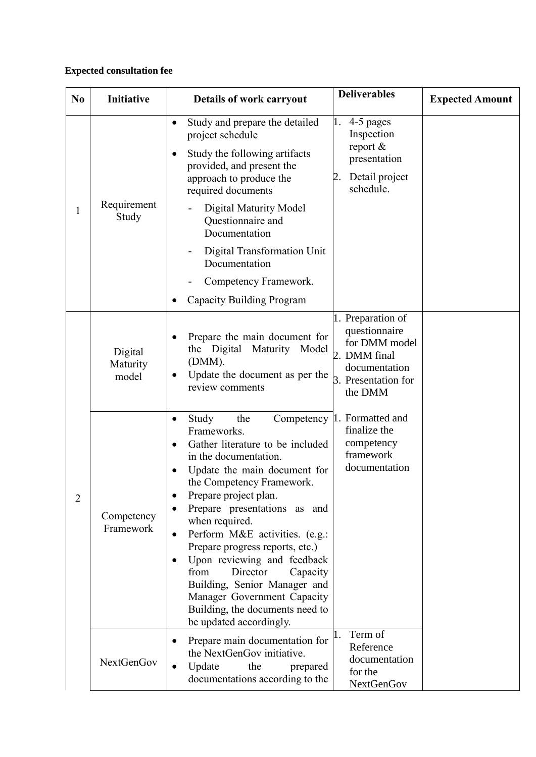# **Expected consultation fee**

| N <sub>0</sub> | Initiative                   | Details of work carryout                                                                                                                                                                                                                                                                                                                                                                                                                                                                                                                  | <b>Deliverables</b>                                                                                                    | <b>Expected Amount</b> |
|----------------|------------------------------|-------------------------------------------------------------------------------------------------------------------------------------------------------------------------------------------------------------------------------------------------------------------------------------------------------------------------------------------------------------------------------------------------------------------------------------------------------------------------------------------------------------------------------------------|------------------------------------------------------------------------------------------------------------------------|------------------------|
| 1              | Requirement<br>Study         | Study and prepare the detailed<br>$\bullet$<br>project schedule<br>Study the following artifacts<br>provided, and present the<br>approach to produce the<br>required documents<br><b>Digital Maturity Model</b><br>Questionnaire and<br>Documentation<br>Digital Transformation Unit<br>Documentation<br>Competency Framework.<br>Capacity Building Program                                                                                                                                                                               | 4-5 pages<br>Inspection<br>report $&$<br>presentation<br>Detail project<br>schedule.                                   |                        |
| $\overline{2}$ | Digital<br>Maturity<br>model | Prepare the main document for<br>the Digital<br>Maturity<br>Model<br>(DMM).<br>Update the document as per the<br>review comments                                                                                                                                                                                                                                                                                                                                                                                                          | 1. Preparation of<br>questionnaire<br>for DMM model<br>2. DMM final<br>documentation<br>3. Presentation for<br>the DMM |                        |
|                | Competency<br>Framework      | Study<br>the<br>Competency<br>$\bullet$<br>Frameworks.<br>Gather literature to be included<br>$\bullet$<br>in the documentation.<br>Update the main document for<br>the Competency Framework.<br>Prepare project plan.<br>Prepare presentations as and<br>when required.<br>Perform M&E activities. (e.g.:<br>Prepare progress reports, etc.)<br>Upon reviewing and feedback<br>from<br>Director<br>Capacity<br>Building, Senior Manager and<br>Manager Government Capacity<br>Building, the documents need to<br>be updated accordingly. | Formatted and<br>finalize the<br>competency<br>framework<br>documentation                                              |                        |
|                | <b>NextGenGov</b>            | Prepare main documentation for<br>the NextGenGov initiative.<br>Update<br>the<br>prepared<br>documentations according to the                                                                                                                                                                                                                                                                                                                                                                                                              | Term of<br>Reference<br>documentation<br>for the<br>NextGenGov                                                         |                        |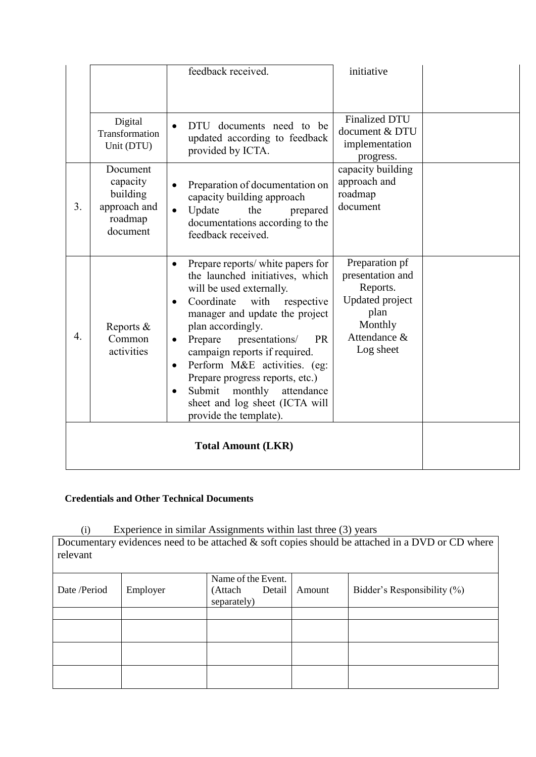|    |                                                                         | feedback received.                                                                                                                                                                                                                                                                                                                                                                                                                                                                           | initiative                                                                                                               |  |
|----|-------------------------------------------------------------------------|----------------------------------------------------------------------------------------------------------------------------------------------------------------------------------------------------------------------------------------------------------------------------------------------------------------------------------------------------------------------------------------------------------------------------------------------------------------------------------------------|--------------------------------------------------------------------------------------------------------------------------|--|
|    | Digital<br>Transformation<br>Unit (DTU)                                 | documents need to be<br><b>DTU</b><br>updated according to feedback<br>provided by ICTA.                                                                                                                                                                                                                                                                                                                                                                                                     | <b>Finalized DTU</b><br>document & DTU<br>implementation<br>progress.                                                    |  |
| 3. | Document<br>capacity<br>building<br>approach and<br>roadmap<br>document | Preparation of documentation on<br>capacity building approach<br>Update<br>the<br>prepared<br>$\bullet$<br>documentations according to the<br>feedback received.                                                                                                                                                                                                                                                                                                                             | capacity building<br>approach and<br>roadmap<br>document                                                                 |  |
| 4. | Reports $&$<br>Common<br>activities                                     | Prepare reports/ white papers for<br>the launched initiatives, which<br>will be used externally.<br>Coordinate<br>with<br>respective<br>$\bullet$<br>manager and update the project<br>plan accordingly.<br>presentations/<br>Prepare<br><b>PR</b><br>$\bullet$<br>campaign reports if required.<br>Perform M&E activities. (eg:<br>$\bullet$<br>Prepare progress reports, etc.)<br>Submit<br>monthly<br>attendance<br>$\bullet$<br>sheet and log sheet (ICTA will<br>provide the template). | Preparation pf<br>presentation and<br>Reports.<br><b>Updated</b> project<br>plan<br>Monthly<br>Attendance &<br>Log sheet |  |
|    |                                                                         |                                                                                                                                                                                                                                                                                                                                                                                                                                                                                              |                                                                                                                          |  |

# **Credentials and Other Technical Documents**

(i) Experience in similar Assignments within last three (3) years

Documentary evidences need to be attached  $\&$  soft copies should be attached in a DVD or CD where relevant

| Date /Period | Employer | Name of the Event.<br>Detail<br>(Attach<br>separately) | Amount | Bidder's Responsibility $(\%)$ |
|--------------|----------|--------------------------------------------------------|--------|--------------------------------|
|              |          |                                                        |        |                                |
|              |          |                                                        |        |                                |
|              |          |                                                        |        |                                |
|              |          |                                                        |        |                                |